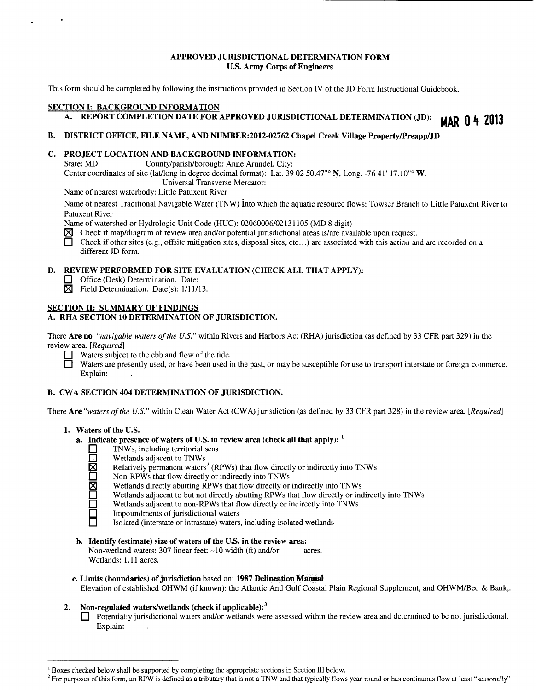## **APPROVED JURISDICTIONAL DETERMINATION FORM U.S. Army Corps of Engineers**

This form should be completed by following the instructions provided in Section IV of the JD Form Instructional Guidebook.

# **SECTION 1: BACKGROUND INFORMATION**  A. REPORT COMPLETION DATE FOR APPROVED JURISDICTIONAL DETERMINATION (JD): **MAR 0 4 2013**

## **B. DISTRICT OFFICE, FILE NAME, AND NUMBER:2012-02762 Chapel Creek Village Property/Preapp/JD**

## **C. PROJECT LOCATION AND BACKGROUND INFORMATION:**

State: MD County/parish/borough: Anne Arundel. City: Center coordinates of site (lat/long in degree decimal format): Lat. 39 02 50.47<sup>"</sup> N, Long. -76 41' 17.10" W. Universal Transverse Mercator:

Name of nearest waterbody: Little Patuxent River

Name of nearest Traditional Navigable Water (TNW) into which the aquatic resource flows: Towser Branch to Little Patuxent River to Patuxent River

Name of watershed or Hydrologic Unit Code (HUC): 02060006/02131105 (MD 8 digit)

 $\boxtimes$  Check if map/diagram of review area and/or potential jurisdictional areas is/are available upon request.

□ Check if other sites (e.g., offsite mitigation sites, disposal sites, etc...) are associated with this action and are recorded on a different JD form.

## **D. REVIEW PERFORMED FOR SITE EVALUATION (CHECK ALL THAT APPLY):**

- **D** Office (Desk) Determination. Date:
- $\boxtimes$  Field Determination. Date(s): 1/11/13.

## **SECTION II: SUMMARY OF FINDINGS**

## **A. RHA SECTION 10 DETERMINATION OF JURISDICTION.**

There **Are no** *"navigable waters of the U.S."* within Rivers and Harbors Act (RHA) jurisdiction (as defined by 33 CFR part 329) in the review area. *[Required]* 

Waters subject to the ebb and flow of the tide.

Waters are presently used, or have been used in the past, or may be susceptible for use to transport interstate or foreign commerce. Explain:

## **B. CWA SECTION 404 DETERMINATION OF JURISDICTION.**

There **Are** *"waters of the U.S."* within Clean Water Act (CWA) jurisdiction (as defined by 33 CFR part 328) in the review area. *[Required]* 

- **1. Waters of the U.S.** 
	- **a. Indicate presence of waters of U.S. in review area (check all that apply):** <sup>1</sup>
		- **D** TNWs, including territorial seas<br>
		Wetlands adjacent to TNWs
		- **D** Wetlands adjacent to TNWs<br> **Relatively permanent waters** 
			- **Relatively permanent waters<sup>2</sup> (RPWs) that flow directly or indirectly into TNWs**
			- Non-RPWs that flow directly or indirectly into TNWs
			- Wetlands directly abutting RPWs that flow directly or indirectly into TNWs
			- Wetlands adjacent to but not directly abutting RPWs that flow directly or indirectly into TNWs
			- Wetlands adjacent to non-RPWs that flow directly or indirectly into TNWs
			- Impoundments of jurisdictional waters
			- Isolated (interstate or intrastate) waters, including isolated wetlands
	- **b. Identify (estimate) size of waters of the U.S. in the review area:**

Non-wetland waters: 307 linear feet: ~10 width (ft) and/or acres. Wetlands: **1.11** acres.

#### **c. Limits (boundaries) of jurisdiction based on: <b>1987 Delineation Manual**

Elevation of established OHWM (if known): the Atlantic And Gulf Coastal Plain Regional Supplement, and OHWM/Bed & Bank,.

## **2. Non-regulated waters/wetlands (check if applicable): <sup>3</sup>**

**D** Potentially jurisdictional waters and/or wetlands were assessed within the review area and determined to be not jurisdictional. Explain:

 $1$  Boxes checked below shall be supported by completing the appropriate sections in Section III below.<br><sup>2</sup> For purposes of this form, an RPW is defined as a tributary that is not a TNW and that typically flows year-round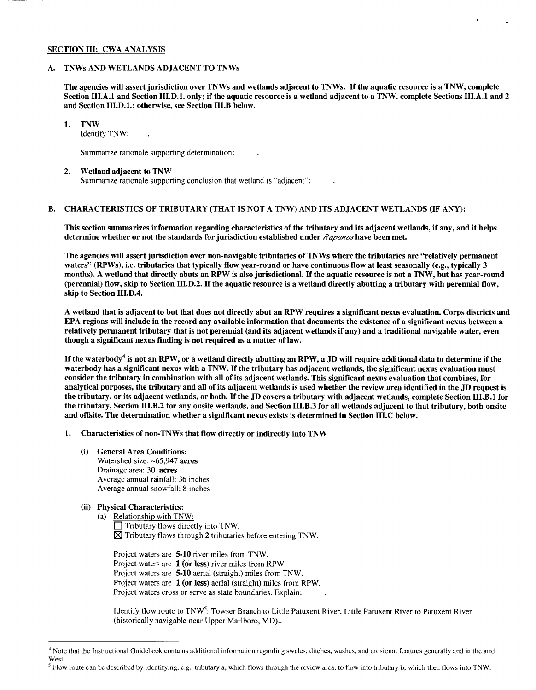#### SECTION III: CWA ANALYSIS

## A. TNWs AND WETLANDS ADJACENT TO TNWs

The agencies will assert jurisdiction over TNWs and wetlands adjacent to TNWs. If the aquatic resource is a TNW, complete Section III.A.1 and Section III.D.l. only; if the aquatic resource is a wetland adjacent to a TNW, complete Sections III.A.1 and 2 and Section III.D.l.; otherwise, see Section III.B below.

#### 1. TNW

Identify TNW:

Summarize rationale supporting determination:

#### 2. Wetland adjacent to TNW Summarize rationale supporting conclusion that wetland is "adjacent":

#### B. CHARACTERISTICS OF TRIBUTARY (THAT IS NOT A TNW) AND ITS ADJACENT WETLANDS (IF ANY):

This section summarizes information regarding characteristics of the tributary and its adjacent wetlands, if any, and it helps determine whether or not the standards for jurisdiction established under *Rapanos* have been met.

The agencies will assert jurisdiction over non-navigable tributaries of TNWs where the tributaries are "relatively permanent waters" (RPWs), i.e. tributaries that typically flow year-round or have continuous flow at least seasonally (e.g., typically 3 months). A wetland that directly abuts an RPW is also jurisdictional. If the aquatic resource is not a TNW, but has year-round (perennial) flow, skip to Section III.D.2. If the aquatic resource is a wetland directly abutting a tributary with perennial flow, skip to Section III.D.4.

A wetland that is adjacent to but that does not directly abut an RPW requires a significant nexus evaluation. Corps districts and EPA regions will include in the record any available information that documents the existence of a significant nexus between a relatively permanent tributary that is not perennial (and its adjacent wetlands if any) and a traditional navigable water, even though a significant nexus finding is not required as a matter of law.

If the waterbody<sup>4</sup> is not an RPW, or a wetland directly abutting an RPW, a JD will require additional data to determine if the waterbody has a significant nexus with a TNW. If the tributary has adjacent wetlands, the significant nexus evaluation must consider the tributary in combination with all of its adjacent wetlands. This significant nexus evaluation that combines, for analytical purposes, the tributary and all of its adjacent wetlands is used whether the review area identified in the JD request is the tributary, or its adjacent wetlands, or both. If the JD covers a tributary with adjacent wetlands, complete Section III.B.1 for the tributary, Section III.B.2 for any onsite wetlands, and Section III.B.3 for all wetlands adjacent to that tributary, both onsite and offsite. The determination whether a significant nexus exists is determined in Section III.C below.

- 1. Characteristics of non-TNWs that flow directly or indirectly into TNW
	- (i) General Area Conditions: Watershed size: ~65,947 acres Drainage area: 30 acres Average annual rainfall: 36 inches Average annual snowfall: 8 inches
	- (ii) Physical Characteristics:
		- (a) Relationship with TNW:
			- $\Box$  Tributary flows directly into TNW.  $\boxtimes$  Tributary flows through 2 tributaries before entering TNW.

Project waters are 5-10 river miles from TNW. Project waters are 1 (or less) river miles from RPW. Project waters are 5-10 aerial (straight) miles from TNW. Project waters are 1 (or less) aerial (straight) miles from RPW. Project waters cross or serve as state boundaries. Explain:

Identify flow route to TNW<sup>5</sup>: Towser Branch to Little Patuxent River, Little Patuxent River to Patuxent River (historically navigable near Upper Marlboro, MD) ..

<sup>&</sup>lt;sup>4</sup> Note that the Instructional Guidebook contains additional information regarding swales, ditches, washes, and erosional features generally and in the arid West.

<sup>&</sup>lt;sup>5</sup> Flow route can be described by identifying, e.g., tributary a, which flows through the review area, to flow into tributary b, which then flows into TNW.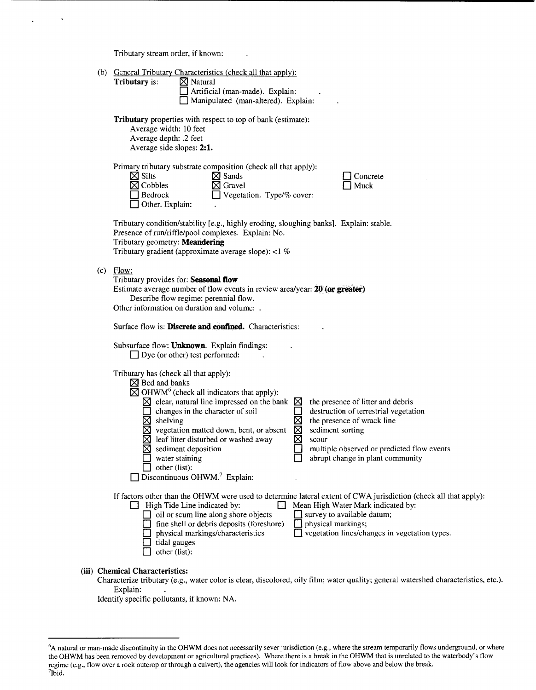Tributary stream order, if known:

|  |  | (b) General Tributary Characteristics (check all that apply): |
|--|--|---------------------------------------------------------------|
|  |  |                                                               |

| (b) General Tributary Characteristics (check all that apply):<br>$\boxtimes$ Natural<br>Tributary is:<br>Artificial (man-made). Explain:<br>Manipulated (man-altered). Explain:                                                                                                                                                                                                                                                                                                                                                                                                                                                                                                                                                     |  |  |  |  |  |  |
|-------------------------------------------------------------------------------------------------------------------------------------------------------------------------------------------------------------------------------------------------------------------------------------------------------------------------------------------------------------------------------------------------------------------------------------------------------------------------------------------------------------------------------------------------------------------------------------------------------------------------------------------------------------------------------------------------------------------------------------|--|--|--|--|--|--|
| Tributary properties with respect to top of bank (estimate):<br>Average width: 10 feet<br>Average depth: .2 feet<br>Average side slopes: 2:1.                                                                                                                                                                                                                                                                                                                                                                                                                                                                                                                                                                                       |  |  |  |  |  |  |
| Primary tributary substrate composition (check all that apply):<br>$\boxtimes$ Silts<br>$\boxtimes$ Sands<br>Concrete<br>$\boxtimes$ Cobbles<br>$\boxtimes$ Gravel<br>Muck<br>Bedrock<br>$\Box$ Vegetation. Type/% cover:<br>Other. Explain:                                                                                                                                                                                                                                                                                                                                                                                                                                                                                        |  |  |  |  |  |  |
| Tributary condition/stability [e.g., highly eroding, sloughing banks]. Explain: stable.<br>Presence of run/riffle/pool complexes. Explain: No.<br>Tributary geometry: Meandering<br>Tributary gradient (approximate average slope): <1 %                                                                                                                                                                                                                                                                                                                                                                                                                                                                                            |  |  |  |  |  |  |
| $(c)$ Flow:<br>Tributary provides for: Seasonal flow<br>Estimate average number of flow events in review area/year: 20 (or greater)<br>Describe flow regime: perennial flow.<br>Other information on duration and volume: .<br>Surface flow is: <b>Discrete and confined.</b> Characteristics:                                                                                                                                                                                                                                                                                                                                                                                                                                      |  |  |  |  |  |  |
| Subsurface flow: Unknown. Explain findings:<br>$\Box$ Dye (or other) test performed:                                                                                                                                                                                                                                                                                                                                                                                                                                                                                                                                                                                                                                                |  |  |  |  |  |  |
| Tributary has (check all that apply):<br>$\boxtimes$ Bed and banks<br>$\boxtimes$ OHWM <sup>6</sup> (check all indicators that apply):<br>$\boxtimes$ clear, natural line impressed on the bank $\boxtimes$<br>the presence of litter and debris<br>changes in the character of soil<br>destruction of terrestrial vegetation<br>$\boxtimes$ shelving<br>⊠<br>the presence of wrack line<br>$\boxtimes$ vegetation matted down, bent, or absent<br>⊠<br>sediment sorting<br>⊠<br>leaf litter disturbed or washed away<br>scour<br>multiple observed or predicted flow events<br>$\boxtimes$ sediment deposition<br>abrupt change in plant community<br>water staining<br>other (list):<br>Discontinuous OHWM. <sup>7</sup> Explain: |  |  |  |  |  |  |
| If factors other than the OHWM were used to determine lateral extent of CWA jurisdiction (check all that apply):<br>Mean High Water Mark indicated by:<br>$\Box$ High Tide Line indicated by:<br>oil or scum line along shore objects<br>$\Box$ survey to available datum;<br>fine shell or debris deposits (foreshore)<br>physical markings;<br>□ vegetation lines/changes in vegetation types.<br>physical markings/characteristics<br>tidal gauges<br>other (list):                                                                                                                                                                                                                                                              |  |  |  |  |  |  |

## **(iii) Chemical Characteristics:**

Characterize tributary (e.g., water color is clear, discolored, oily film; water quality; general watershed characteristics, etc.). Explain:

Identify specific pollutants, if known: NA.

<sup>&</sup>lt;sup>6</sup>A natural or man-made discontinuity in the OHWM does not necessarily sever jurisdiction (e.g., where the stream temporarily flows underground, or where the OHWM has been removed by development or agricultural practices). Where there is a break in the OHWM that is unrelated to the waterbody's flow regime (e.g., flow over a rock outcrop or through a culvert), the agencies will look for indicators of flow above and below the break. 7  $7$ Ibid.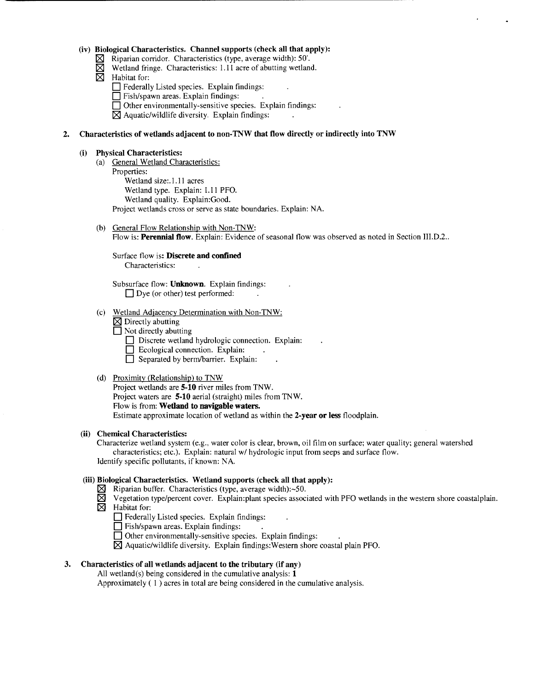#### **(iv) Biological Characteristics. Channel supports (check all that apply):**

- $\boxtimes$  Riparian corridor. Characteristics (type, average width): 50'.
- $\boxtimes$  Wetland fringe. Characteristics: 1.11 acre of abutting wetland.
- $\boxtimes$  Habitat for:
	- **D** Federally Listed species. Explain findings:
	- **0** Fish/spawn areas. Explain findings:
	- $\Box$  Other environmentally-sensitive species. Explain findings:

 $\boxtimes$  Aquatic/wildlife diversity. Explain findings:

#### **2. Characteristics of wetlands adjacent to non-TNW that flow directly or indirectly into TNW**

#### **(i) Physical Characteristics:**

(a) General Wetland Characteristics: Properties:

Wetland size:.l.ll acres Wetland type. Explain: 1.11 PFO. Wetland quality. Explain:Good. Project wetlands cross or serve as state boundaries. Explain: NA.

(b) General Flow Relationship with Non-TNW: Flow is: **Perennial flow**. Explain: Evidence of seasonal flow was observed as noted in Section III.D.2..

Surface flow is: **Discrete and confined**  Characteristics:

Subsurface flow: **Unknown.** Explain findings: □ Dye (or other) test performed:

- (c) Wetland Adjacency Determination with Non-TNW:
	- $\boxtimes$  Directly abutting
	- □ Not directly abutting
		- **Discrete wetland hydrologic connection. Explain:**
		- $\Box$  Ecological connection. Explain:
		- **0** Separated by berm/barrier. Explain:

## (d) Proximity (Relationship) to TNW

Project wetlands are **5-10** river miles from TNW. Project waters are **5-10** aerial (straight) miles from TNW. Flow is from: **Wetland to navigable waters.**  Estimate approximate location of wetland as within the **2-year or less** floodplain.

#### **(ii) Chemical Characteristics:**

Characterize wetland system (e.g., water color is clear, brown, oil film on surface; water quality; general watershed characteristics; etc.). Explain: natural w/ hydrologic input from seeps and surface flow. Identify specific pollutants, if known: NA.

## **(iii) Biological Characteristics. Wetland supports (check all that apply):**

- $\times$  Riparian buffer. Characteristics (type, average width):~50.
- $\boxtimes$  Vegetation type/percent cover. Explain: plant species associated with PFO wetlands in the western shore coastalplain.  $\boxtimes$  Habitat for:
- - **D** Federally Listed species. Explain findings:
	- **0** Fish/spawn areas. Explain findings:
	- $\Box$  Other environmentally-sensitive species. Explain findings:
	- $\boxtimes$  Aquatic/wildlife diversity. Explain findings: Western shore coastal plain PFO.

## **3. Characteristics of all wetlands adjacent to the tributary (if any)**

All wetland(s) being considered in the cumulative analysis: **1** 

Approximately ( I ) acres in total are being considered in the cumulative analysis.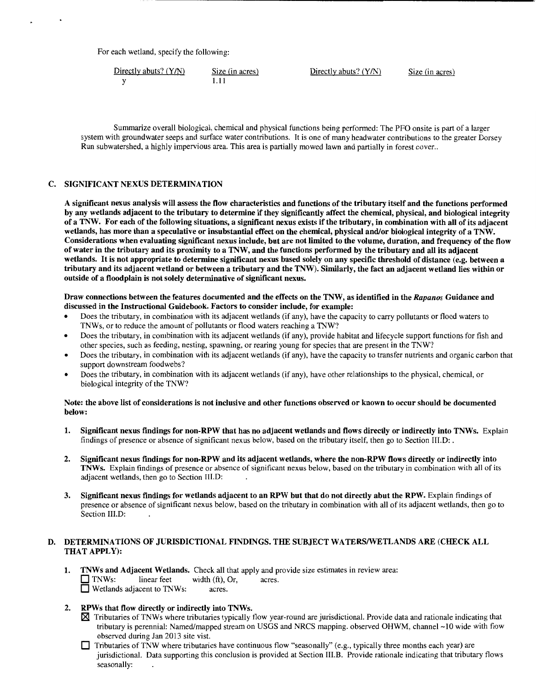For each wetland, specify the following:

| Directly abuts? $(Y/N)$ | Size (in acres) | Directly abuts? $(Y/N)$ | Size (in acres) |
|-------------------------|-----------------|-------------------------|-----------------|
|                         |                 |                         |                 |

Summarize overall biological, chemical and physical functions being performed: The PFO onsite is part of a larger system with groundwater seeps and surface water contributions. It is one of many headwater contributions to the greater Dorsey Run subwatershed, a highly impervious area. This area is partially mowed lawn and partially in forest cover ..

#### C. SIGNIFICANT NEXUS DETERMINATION

A significant nexus analysis will assess the flow characteristics and functions of the tributary itself and the functions performed by any wetlands adjacent to the tributary to determine if they significantly affect the chemical, physical, and biological integrity of a TNW. For each of the following situations, a significant nexus exists if the tributary, in combination with all of its adjacent wetlands, has more than a speculative or insubstantial effect on the chemical, physical and/or biological integrity of a TNW. Considerations when evaluating significant nexus include, but are not limited to the volume, duration, and frequency of the flow of water in the tributary and its proximity to a TNW, and the functions performed by the tributary and all its adjacent wetlands. It is not appropriate to determine significant nexus based solely on any specific threshold of distance (e.g. between a tributary and its adjacent wetland or between a tributary and the TNW). Similarly, the fact an adjacent wetland lies within or outside of a floodplain is not solely determinative of significant nexus.

Draw connections between the features documented and the effects on the TNW, as identified in the *Rapanos* Guidance and discussed in the Instructional Guidebook. Factors to consider include, for example:

- Does the tributary, in combination with its adjacent wetlands (if any), have the capacity to carry pollutants or flood waters to TNWs, or to reduce the amount of pollutants or flood waters reaching a TNW?
- Does the tributary, in combination with its adjacent wetlands (if any), provide habitat and lifecycle support functions for fish and other species, such as feeding, nesting, spawning, or rearing young for species that are present in the TNW?
- Does the tributary, in combination with its adjacent wetlands (if any), have the capacity to transfer nutrients and organic carbon that support downstream foodwebs?
- Does the tributary, in combination with its adjacent wetlands (if any), have other relationships to the physical, chemical, or biological integrity of the TNW?

#### Note: the above list of considerations is not inclusive and other functions observed or known to occur should be documented below:

- 1. Significant nexus findings for non-RPW that has no adjacent wetlands and flows directly or indirectly into TNWs. Explain findings of presence or absence of significant nexus below, based on the tributary itself, then go to Section III.D: .
- 2. Significant nexus findings for non-RPW and its adjacent wetlands, where the non-RPW flows directly or indirectly into TNWs. Explain findings of presence or absence of significant nexus below, based on the tributary in combination with all of its adjacent wetlands, then go to Section III.D:
- 3. Significant nexus findings for wetlands adjacent to an RPW but that do not directly abut the RPW. Explain findings of presence or absence of significant nexus below, based on the tributary in combination with all of its adjacent wetlands, then go to Section III.D:

## D. DETERMINATIONS OF JURISDICTIONAL FINDINGS. THE SUBJECT WATERS/WETLANDS ARE (CHECK ALL THAT APPLY):

- 1. TNWs and Adjacent Wetlands. Check all that apply and provide size estimates in review area: TNWs: linear feet width (ft), Or, acres.<br>
Wetlands adjacent to TNWs: acres.  $\Box$  Wetlands adjacent to TNWs:
- 2. RPWs that flow directly or indirectly into TNWs.
	- 181 Tributaries of TNWs where tributaries typically flow year-round are jurisdictional. Provide data and rationale indicating that tributary is perennial: Named/mapped stream on USGS and NRCS mapping. observed OHWM, channel -10 wide with flow observed during Jan 2013 site vist.
	- $\Box$  Tributaries of TNW where tributaries have continuous flow "seasonally" (e.g., typically three months each year) are jurisdictional. Data supporting this conclusion is provided at Section III.B. Provide rationale indicating that tributary flows seasonally: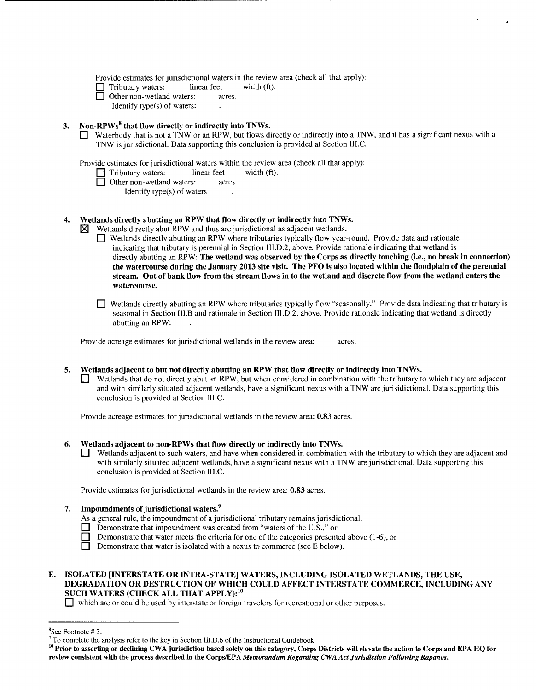Provide estimates for jurisdictional waters in the review area (check all that apply):<br>  $\Box$  Tributary waters: linear feet width (ft).

Tributary waters: linear feet

Other non-wetland waters: acres.

Identify type(s) of waters:

## 3. Non-RPWs<sup>8</sup> that flow directly or indirectly into TNWs.

Waterbody that is not a TNW or an RPW, but flows directly or indirectly into a TNW, and it has a significant nexus with a TNW is jurisdictional. Data supporting this conclusion is provided at Section III.C.

Provide estimates for jurisdictional waters within the review area (check all that apply):

- $\Box$  Tributary waters: linear feet width (ft).
- □ Other non-wetland waters: acres.
	- Identify type(s) of waters:

## 4. Wetlands directly abutting an RPW that flow directly or indirectly into TNWs.

Wetlands directly abut RPW and thus are jurisdictional as adjacent wetlands.

- 0 Wetlands directly abutting an RPW where tributaries typically flow year-round. Provide data and rationale indicating that tributary is perennial in Section III.D.2, above. Provide rationale indicating that wetland is directly abutting an RPW: The wetland was observed by the Corps as directly touching (i.e., no break in connection) the watercourse during the January 2013 site visit. The PFO is also located within the floodplain of the perennial stream. Out of bank flow from the stream flows in to the wetland and discrete flow from the wetland enters the watercourse.
- $\Box$  Wetlands directly abutting an RPW where tributaries typically flow "seasonally." Provide data indicating that tributary is seasonal in Section III.B and rationale in Section III.D.2, above. Provide rationale indicating that wetland is directly abutting an RPW:

Provide acreage estimates for jurisdictional wetlands in the review area: acres.

#### 5. Wetlands adjacent to but not directly abutting an RPW that flow directly or indirectly into TNWs.

Wetlands that do not directly abut an RPW, but when considered in combination with the tributary to which they are adjacent and with similarly situated adjacent wetlands, have a significant nexus with a TNW are jurisidictional. Data supporting this conclusion is provided at Section III.C.

Provide acreage estimates for jurisdictional wetlands in the review area: 0.83 acres.

- 6. Wetlands adjacent to non-RPWs that flow directly or indirectly into TNWs.
	- 0 Wetlands adjacent to such waters, and have when considered in combination with the tributary to which they are adjacent and with similarly situated adjacent wetlands, have a significant nexus with a TNW are jurisdictional. Data supporting this conclusion is provided at Section III.C.

Provide estimates for jurisdictional wetlands in the review area: 0.83 acres.

## Impoundments of jurisdictional waters.<sup>9</sup>

- As a general rule, the impoundment of a jurisdictional tributary remains jurisdictional.
- $\Box$  Demonstrate that impoundment was created from "waters of the U.S.," or
- **Demonstrate that water meets the criteria for one of the categories presented above (1-6), or**

 $\Box$  Demonstrate that water is isolated with a nexus to commerce (see E below).

## E. ISOLATED [INTERSTATE OR INTRA-STATE] WATERS, INCLUDING ISOLATED WETLANDS, THE USE, DEGRADATION OR DESTRUCTION OF WHICH COULD AFFECT INTERSTATE COMMERCE, INCLUDING ANY SUCH WATERS (CHECK ALL THAT APPLY):<sup>10</sup>

0 which are or could be used by interstate or foreign travelers for recreational or other purposes.

 $8$ See Footnote #3.

 $\degree$  To complete the analysis refer to the key in Section III.D.6 of the Instructional Guidebook.<br><sup>10</sup> Prior to asserting or declining CWA jurisdiction based solely on this category, Corps Districts will elevate the actio review consistent with the process described in the Corps/EPA *Memorandum Regarding CWA Act Jurisdiction Following Rapanos.*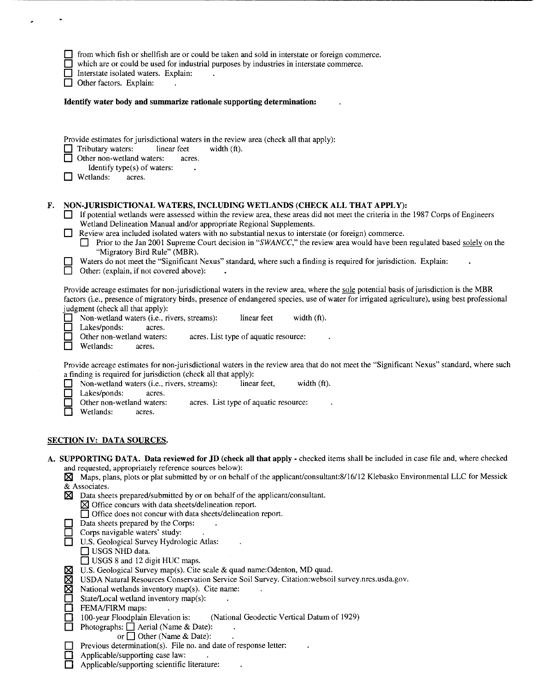|    | from which fish or shellfish are or could be taken and sold in interstate or foreign commerce.<br>which are or could be used for industrial purposes by industries in interstate commerce.<br>Interstate isolated waters. Explain:<br>Other factors. Explain:                                                                                                                                                                                                                                                                                                                                                                                                                                                                                                                                                                                                                                                                                                                                                                                                                                                                                                           |  |  |  |  |  |
|----|-------------------------------------------------------------------------------------------------------------------------------------------------------------------------------------------------------------------------------------------------------------------------------------------------------------------------------------------------------------------------------------------------------------------------------------------------------------------------------------------------------------------------------------------------------------------------------------------------------------------------------------------------------------------------------------------------------------------------------------------------------------------------------------------------------------------------------------------------------------------------------------------------------------------------------------------------------------------------------------------------------------------------------------------------------------------------------------------------------------------------------------------------------------------------|--|--|--|--|--|
|    | Identify water body and summarize rationale supporting determination:                                                                                                                                                                                                                                                                                                                                                                                                                                                                                                                                                                                                                                                                                                                                                                                                                                                                                                                                                                                                                                                                                                   |  |  |  |  |  |
|    | Provide estimates for jurisdictional waters in the review area (check all that apply):<br>Tributary waters:<br>linear feet<br>width $(ft)$ .<br>Other non-wetland waters:<br>acres.<br>Identify type(s) of waters:<br>Wetlands:<br>acres.                                                                                                                                                                                                                                                                                                                                                                                                                                                                                                                                                                                                                                                                                                                                                                                                                                                                                                                               |  |  |  |  |  |
| F. | NON-JURISDICTIONAL WATERS, INCLUDING WETLANDS (CHECK ALL THAT APPLY):<br>If potential wetlands were assessed within the review area, these areas did not meet the criteria in the 1987 Corps of Engineers<br>Wetland Delineation Manual and/or appropriate Regional Supplements.<br>Review area included isolated waters with no substantial nexus to interstate (or foreign) commerce.<br>Prior to the Jan 2001 Supreme Court decision in "SWANCC," the review area would have been regulated based solely on the<br>"Migratory Bird Rule" (MBR).<br>Waters do not meet the "Significant Nexus" standard, where such a finding is required for jurisdiction. Explain:<br>□<br>Other: (explain, if not covered above):                                                                                                                                                                                                                                                                                                                                                                                                                                                  |  |  |  |  |  |
|    | Provide acreage estimates for non-jurisdictional waters in the review area, where the sole potential basis of jurisdiction is the MBR<br>factors (i.e., presence of migratory birds, presence of endangered species, use of water for irrigated agriculture), using best professional<br>judgment (check all that apply):<br>Non-wetland waters (i.e., rivers, streams):<br>linear feet<br>width (ft).<br>Lakes/ponds:<br>acres.<br>Other non-wetland waters:<br>acres. List type of aquatic resource:<br>Wetlands:<br>acres.                                                                                                                                                                                                                                                                                                                                                                                                                                                                                                                                                                                                                                           |  |  |  |  |  |
|    | Provide acreage estimates for non-jurisdictional waters in the review area that do not meet the "Significant Nexus" standard, where such<br>a finding is required for jurisdiction (check all that apply):<br>width (ft).<br>Non-wetland waters (i.e., rivers, streams):<br>linear feet,<br>Lakes/ponds:<br>acres.<br>Other non-wetland waters:<br>acres. List type of aquatic resource:<br>Wetlands:<br>acres.                                                                                                                                                                                                                                                                                                                                                                                                                                                                                                                                                                                                                                                                                                                                                         |  |  |  |  |  |
|    | <u>SECTION IV: DATA SOURCES.</u>                                                                                                                                                                                                                                                                                                                                                                                                                                                                                                                                                                                                                                                                                                                                                                                                                                                                                                                                                                                                                                                                                                                                        |  |  |  |  |  |
|    | A. SUPPORTING DATA. Data reviewed for JD (check all that apply - checked items shall be included in case file and, where checked<br>and requested, appropriately reference sources below):<br>$\boxtimes$ Maps, plans, plots or plat submitted by or on behalf of the applicant/consultant:8/16/12 Klebasko Environmental LLC for Messick<br>& Associates.<br>$\boxtimes$ Data sheets prepared/submitted by or on behalf of the applicant/consultant.<br>$\boxtimes$ Office concurs with data sheets/delineation report.<br>Office does not concur with data sheets/delineation report.<br>Data sheets prepared by the Corps:<br>Corps navigable waters' study:<br>U.S. Geological Survey Hydrologic Atlas:<br>$\Box$ USGS NHD data.<br>□ USGS 8 and 12 digit HUC maps.<br>U.S. Geological Survey map(s). Cite scale & quad name: Odenton, MD quad.<br>区区区<br>USDA Natural Resources Conservation Service Soil Survey. Citation: websoil survey.nrcs.usda.gov.<br>National wetlands inventory map(s). Cite name:<br>pop<br>State/Local wetland inventory map(s):<br>FEMA/FIRM maps:<br>100-year Floodplain Elevation is:<br>(National Geodectic Vertical Datum of 1929) |  |  |  |  |  |
|    | Photographs: $\Box$ Aerial (Name & Date):<br>$\Box$<br>or $\Box$ Other (Name & Date):<br>Previous determination(s). File no. and date of response letter:<br>Applicable/supporting case law:<br>Applicable/supporting scientific literature:                                                                                                                                                                                                                                                                                                                                                                                                                                                                                                                                                                                                                                                                                                                                                                                                                                                                                                                            |  |  |  |  |  |

-----------------------------------------------------

-~-------

 $\mathcal{L}_{\text{max}}$  .